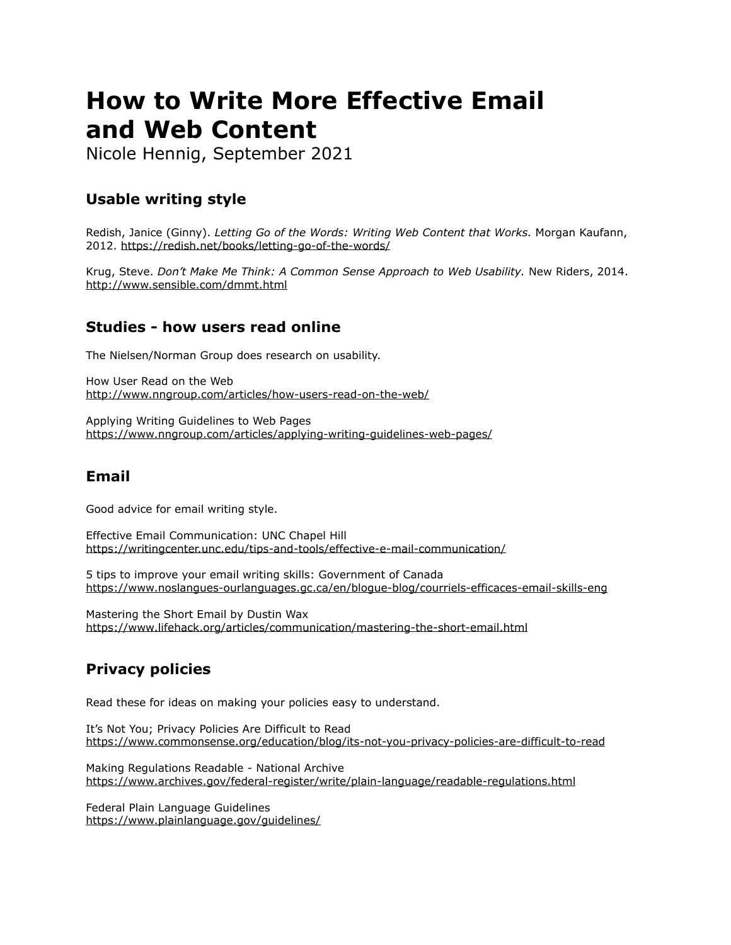# **How to Write More Effective Email and Web Content**

Nicole Hennig, September 2021

# **Usable writing style**

Redish, Janice (Ginny). *Letting Go of the Words: Writing Web Content that Works.* Morgan Kaufann, 2012.<https://redish.net/books/letting-go-of-the-words/>

Krug, Steve. *Don't Make Me Think: A Common Sense Approach to Web Usability.* New Riders, 2014. <http://www.sensible.com/dmmt.html>

## **Studies - how users read online**

The Nielsen/Norman Group does research on usability.

How User Read on the Web <http://www.nngroup.com/articles/how-users-read-on-the-web/>

Applying Writing Guidelines to Web Pages <https://www.nngroup.com/articles/applying-writing-guidelines-web-pages/>

### **Email**

Good advice for email writing style.

Effective Email Communication: UNC Chapel Hill <https://writingcenter.unc.edu/tips-and-tools/effective-e-mail-communication/>

5 tips to improve your email writing skills: Government of Canada <https://www.noslangues-ourlanguages.gc.ca/en/blogue-blog/courriels-efficaces-email-skills-eng>

Mastering the Short Email by Dustin Wax <https://www.lifehack.org/articles/communication/mastering-the-short-email.html>

# **Privacy policies**

Read these for ideas on making your policies easy to understand.

It's Not You; Privacy Policies Are Difficult to Read <https://www.commonsense.org/education/blog/its-not-you-privacy-policies-are-difficult-to-read>

Making Regulations Readable - National Archive <https://www.archives.gov/federal-register/write/plain-language/readable-regulations.html>

Federal Plain Language Guidelines <https://www.plainlanguage.gov/guidelines/>